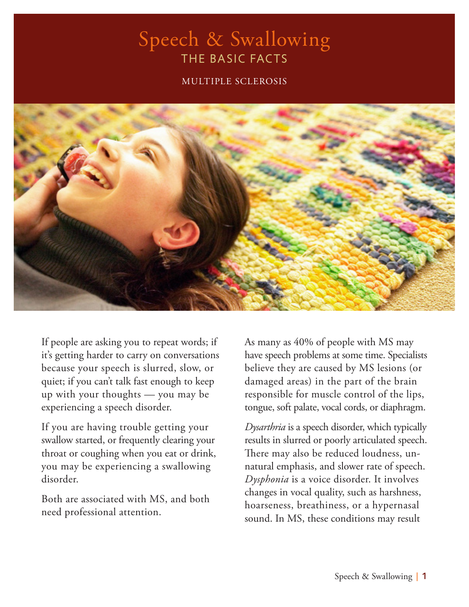#### Speech & Swallowing THE BASIC FACTS

#### MULTIPLE SCLEROSIS



If people are asking you to repeat words; if it's getting harder to carry on conversations because your speech is slurred, slow, or quiet; if you can't talk fast enough to keep up with your thoughts — you may be experiencing a speech disorder.

If you are having trouble getting your swallow started, or frequently clearing your throat or coughing when you eat or drink, you may be experiencing a swallowing disorder.

Both are associated with MS, and both need professional attention.

As many as 40% of people with MS may have speech problems at some time. Specialists believe they are caused by MS lesions (or damaged areas) in the part of the brain responsible for muscle control of the lips, tongue, soft palate, vocal cords, or diaphragm.

*Dysarthria* is a speech disorder, which typically results in slurred or poorly articulated speech. There may also be reduced loudness, unnatural emphasis, and slower rate of speech. *Dysphonia* is a voice disorder. It involves changes in vocal quality, such as harshness, hoarseness, breathiness, or a hypernasal sound. In MS, these conditions may result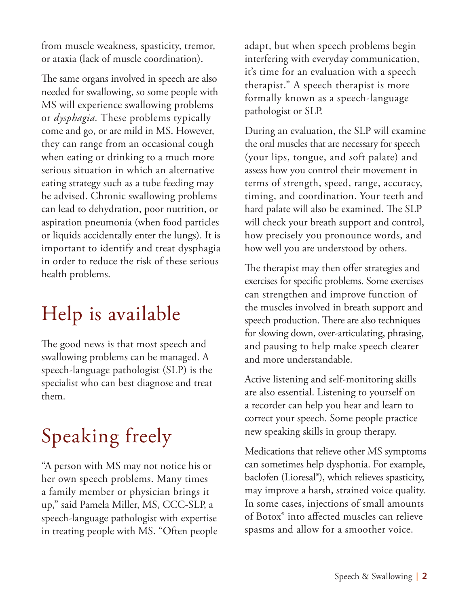from muscle weakness, spasticity, tremor, or ataxia (lack of muscle coordination).

The same organs involved in speech are also needed for swallowing, so some people with MS will experience swallowing problems or *dysphagia.* These problems typically come and go, or are mild in MS. However, they can range from an occasional cough when eating or drinking to a much more serious situation in which an alternative eating strategy such as a tube feeding may be advised. Chronic swallowing problems can lead to dehydration, poor nutrition, or aspiration pneumonia (when food particles or liquids accidentally enter the lungs). It is important to identify and treat dysphagia in order to reduce the risk of these serious health problems.

## Help is available

The good news is that most speech and swallowing problems can be managed. A speech-language pathologist (SLP) is the specialist who can best diagnose and treat them.

# Speaking freely

"A person with MS may not notice his or her own speech problems. Many times a family member or physician brings it up," said Pamela Miller, MS, CCC-SLP, a speech-language pathologist with expertise in treating people with MS. "Often people adapt, but when speech problems begin interfering with everyday communication, it's time for an evaluation with a speech therapist." A speech therapist is more formally known as a speech-language pathologist or SLP.

During an evaluation, the SLP will examine the oral muscles that are necessary for speech (your lips, tongue, and soft palate) and assess how you control their movement in terms of strength, speed, range, accuracy, timing, and coordination. Your teeth and hard palate will also be examined. The SLP will check your breath support and control, how precisely you pronounce words, and how well you are understood by others.

The therapist may then offer strategies and exercises for specific problems. Some exercises can strengthen and improve function of the muscles involved in breath support and speech production. There are also techniques for slowing down, over-articulating, phrasing, and pausing to help make speech clearer and more understandable.

Active listening and self-monitoring skills are also essential. Listening to yourself on a recorder can help you hear and learn to correct your speech. Some people practice new speaking skills in group therapy.

Medications that relieve other MS symptoms can sometimes help dysphonia. For example, baclofen (Lioresal®), which relieves spasticity, may improve a harsh, strained voice quality. In some cases, injections of small amounts of Botox® into affected muscles can relieve spasms and allow for a smoother voice.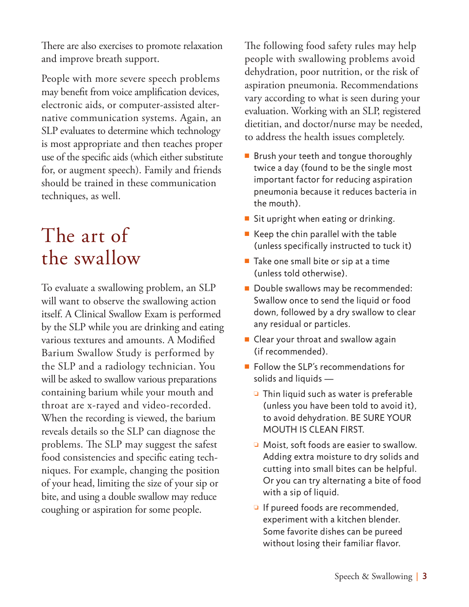There are also exercises to promote relaxation and improve breath support.

People with more severe speech problems may benefit from voice amplification devices, electronic aids, or computer-assisted alternative communication systems. Again, an SLP evaluates to determine which technology is most appropriate and then teaches proper use of the specific aids (which either substitute for, or augment speech). Family and friends should be trained in these communication techniques, as well.

#### The art of the swallow

To evaluate a swallowing problem, an SLP will want to observe the swallowing action itself. A Clinical Swallow Exam is performed by the SLP while you are drinking and eating various textures and amounts. A Modified Barium Swallow Study is performed by the SLP and a radiology technician. You will be asked to swallow various preparations containing barium while your mouth and throat are x-rayed and video-recorded. When the recording is viewed, the barium reveals details so the SLP can diagnose the problems. The SLP may suggest the safest food consistencies and specific eating techniques. For example, changing the position of your head, limiting the size of your sip or bite, and using a double swallow may reduce coughing or aspiration for some people.

The following food safety rules may help people with swallowing problems avoid dehydration, poor nutrition, or the risk of aspiration pneumonia. Recommendations vary according to what is seen during your evaluation. Working with an SLP, registered dietitian, and doctor/nurse may be needed, to address the health issues completely.

- $\blacksquare$  Brush your teeth and tongue thoroughly twice a day (found to be the single most important factor for reducing aspiration pneumonia because it reduces bacteria in the mouth).
- Sit upright when eating or drinking.
- $\blacksquare$  Keep the chin parallel with the table (unless specifically instructed to tuck it)
- $\blacksquare$  Take one small bite or sip at a time (unless told otherwise).
- Double swallows may be recommended: Swallow once to send the liquid or food down, followed by a dry swallow to clear any residual or particles.
- $\blacksquare$  Clear your throat and swallow again (if recommended).
- $\blacksquare$  Follow the SLP's recommendations for solids and liquids —
	- $\Box$  Thin liquid such as water is preferable (unless you have been told to avoid it), to avoid dehydration. BE SURE YOUR MOUTH IS CLEAN FIRST.
	- $\Box$  Moist, soft foods are easier to swallow. Adding extra moisture to dry solids and cutting into small bites can be helpful. Or you can try alternating a bite of food with a sip of liquid.
	- $\Box$  If pureed foods are recommended, experiment with a kitchen blender. Some favorite dishes can be pureed without losing their familiar flavor.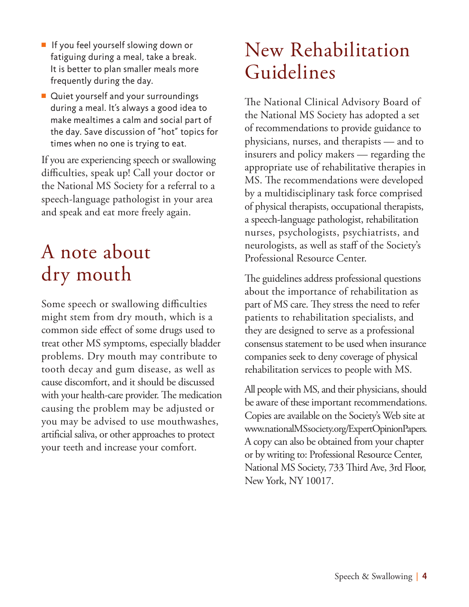- $\blacksquare$  If you feel yourself slowing down or fatiguing during a meal, take a break. It is better to plan smaller meals more frequently during the day.
- $\blacksquare$  Quiet yourself and your surroundings during a meal. It's always a good idea to make mealtimes a calm and social part of the day. Save discussion of "hot" topics for times when no one is trying to eat.

If you are experiencing speech or swallowing difficulties, speak up! Call your doctor or the National MS Society for a referral to a speech-language pathologist in your area and speak and eat more freely again.

### A note about dry mouth

Some speech or swallowing difficulties might stem from dry mouth, which is a common side effect of some drugs used to treat other MS symptoms, especially bladder problems. Dry mouth may contribute to tooth decay and gum disease, as well as cause discomfort, and it should be discussed with your health-care provider. The medication causing the problem may be adjusted or you may be advised to use mouthwashes, artificial saliva, or other approaches to protect your teeth and increase your comfort.

#### New Rehabilitation Guidelines

The National Clinical Advisory Board of the National MS Society has adopted a set of recommendations to provide guidance to physicians, nurses, and therapists — and to insurers and policy makers — regarding the appropriate use of rehabilitative therapies in MS. The recommendations were developed by a multidisciplinary task force comprised of physical therapists, occupational therapists, a speech-language pathologist, rehabilitation nurses, psychologists, psychiatrists, and neurologists, as well as staff of the Society's Professional Resource Center.

The guidelines address professional questions about the importance of rehabilitation as part of MS care. They stress the need to refer patients to rehabilitation specialists, and they are designed to serve as a professional consensus statement to be used when insurance companies seek to deny coverage of physical rehabilitation services to people with MS.

All people with MS, and their physicians, should be aware of these important recommendations. Copies are available on the Society's Web site at www.nationalMSsociety.org/ExpertOpinionPapers. A copy can also be obtained from your chapter or by writing to: Professional Resource Center, National MS Society, 733 Third Ave, 3rd Floor, New York, NY 10017.